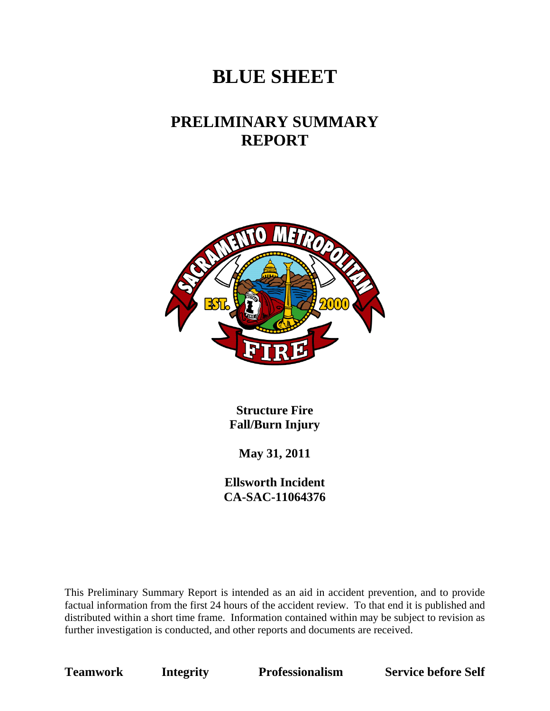# **BLUE SHEET**

## **PRELIMINARY SUMMARY REPORT**



**Structure Fire Fall/Burn Injury** 

**May 31, 2011** 

**Ellsworth Incident CA-SAC-11064376** 

This Preliminary Summary Report is intended as an aid in accident prevention, and to provide factual information from the first 24 hours of the accident review. To that end it is published and distributed within a short time frame. Information contained within may be subject to revision as further investigation is conducted, and other reports and documents are received.

**Teamwork Integrity Professionalism Service before Self**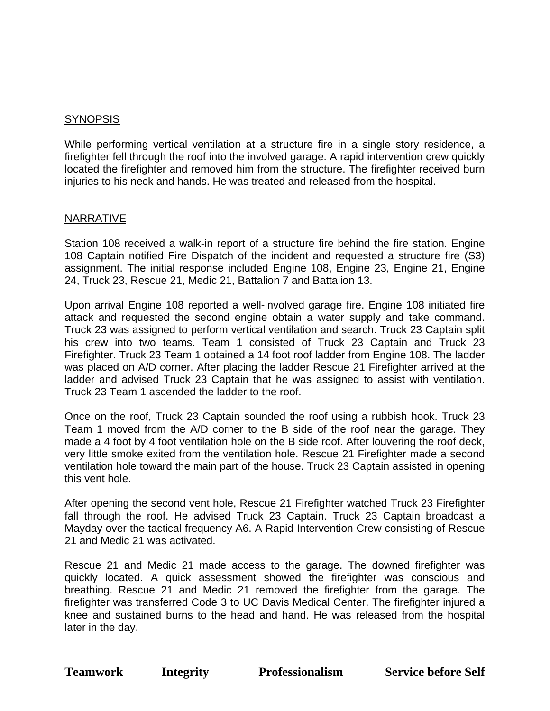#### **SYNOPSIS**

While performing vertical ventilation at a structure fire in a single story residence, a firefighter fell through the roof into the involved garage. A rapid intervention crew quickly located the firefighter and removed him from the structure. The firefighter received burn injuries to his neck and hands. He was treated and released from the hospital.

#### NARRATIVE

Station 108 received a walk-in report of a structure fire behind the fire station. Engine 108 Captain notified Fire Dispatch of the incident and requested a structure fire (S3) assignment. The initial response included Engine 108, Engine 23, Engine 21, Engine 24, Truck 23, Rescue 21, Medic 21, Battalion 7 and Battalion 13.

Upon arrival Engine 108 reported a well-involved garage fire. Engine 108 initiated fire attack and requested the second engine obtain a water supply and take command. Truck 23 was assigned to perform vertical ventilation and search. Truck 23 Captain split his crew into two teams. Team 1 consisted of Truck 23 Captain and Truck 23 Firefighter. Truck 23 Team 1 obtained a 14 foot roof ladder from Engine 108. The ladder was placed on A/D corner. After placing the ladder Rescue 21 Firefighter arrived at the ladder and advised Truck 23 Captain that he was assigned to assist with ventilation. Truck 23 Team 1 ascended the ladder to the roof.

Once on the roof, Truck 23 Captain sounded the roof using a rubbish hook. Truck 23 Team 1 moved from the A/D corner to the B side of the roof near the garage. They made a 4 foot by 4 foot ventilation hole on the B side roof. After louvering the roof deck, very little smoke exited from the ventilation hole. Rescue 21 Firefighter made a second ventilation hole toward the main part of the house. Truck 23 Captain assisted in opening this vent hole.

After opening the second vent hole, Rescue 21 Firefighter watched Truck 23 Firefighter fall through the roof. He advised Truck 23 Captain. Truck 23 Captain broadcast a Mayday over the tactical frequency A6. A Rapid Intervention Crew consisting of Rescue 21 and Medic 21 was activated.

Rescue 21 and Medic 21 made access to the garage. The downed firefighter was quickly located. A quick assessment showed the firefighter was conscious and breathing. Rescue 21 and Medic 21 removed the firefighter from the garage. The firefighter was transferred Code 3 to UC Davis Medical Center. The firefighter injured a knee and sustained burns to the head and hand. He was released from the hospital later in the day.